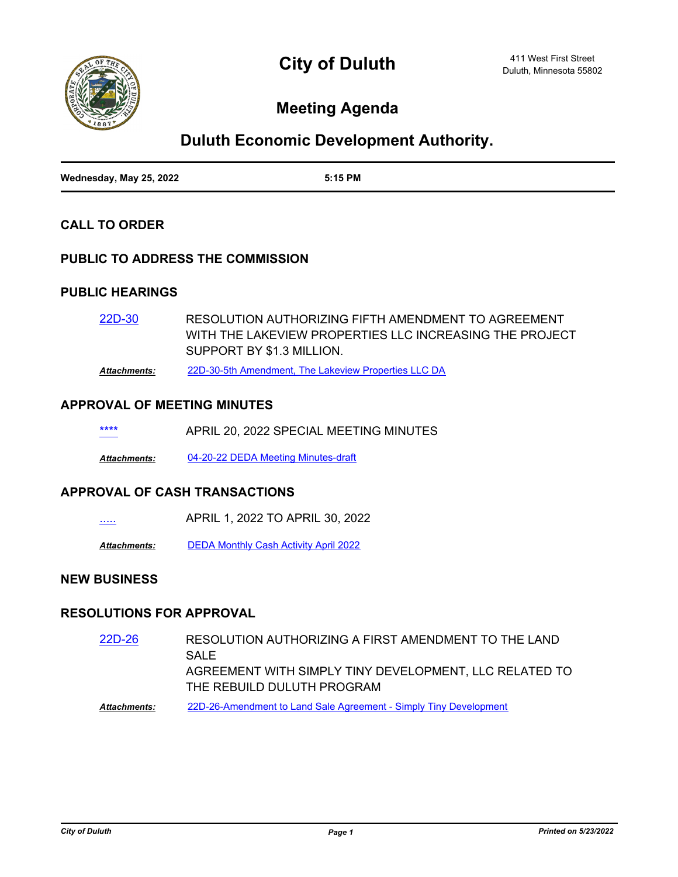

# **Meeting Agenda**

# **Duluth Economic Development Authority.**

| Wednesday, May 25, 2022 | 5:15 PM |
|-------------------------|---------|

## **CALL TO ORDER**

## **PUBLIC TO ADDRESS THE COMMISSION**

## **PUBLIC HEARINGS**

RESOLUTION AUTHORIZING FIFTH AMENDMENT TO AGREEMENT WITH THE LAKEVIEW PROPERTIES LLC INCREASING THE PROJECT SUPPORT BY \$1.3 MILLION. [22D-30](http://duluth-mn.legistar.com/gateway.aspx?m=l&id=/matter.aspx?key=8234)

*Attachments:* [22D-30-5th Amendment, The Lakeview Properties LLC DA](http://duluth-mn.legistar.com/gateway.aspx?M=F&ID=c5499ea7-f2e0-40ca-aea7-dc3e9670dc8e.pdf)

### **APPROVAL OF MEETING MINUTES**

| **** | APRIL 20, 2022 SPECIAL MEETING MINUTES |
|------|----------------------------------------|
|      |                                        |

*Attachments:* [04-20-22 DEDA Meeting Minutes-draft](http://duluth-mn.legistar.com/gateway.aspx?M=F&ID=8c5bf294-a60c-4133-b79c-3605402e7258.pdf)

#### **APPROVAL OF CASH TRANSACTIONS**

[.....](http://duluth-mn.legistar.com/gateway.aspx?m=l&id=/matter.aspx?key=8236) APRIL 1, 2022 TO APRIL 30, 2022

*Attachments:* [DEDA Monthly Cash Activity April 2022](http://duluth-mn.legistar.com/gateway.aspx?M=F&ID=2054ffca-a5c7-4d10-8c75-b1ce531ebd43.pdf)

# **NEW BUSINESS**

## **RESOLUTIONS FOR APPROVAL**

- RESOLUTION AUTHORIZING A FIRST AMENDMENT TO THE LAND SAL<sub>E</sub> AGREEMENT WITH SIMPLY TINY DEVELOPMENT, LLC RELATED TO THE REBUILD DULUTH PROGRAM [22D-26](http://duluth-mn.legistar.com/gateway.aspx?m=l&id=/matter.aspx?key=8228)
- *Attachments:* [22D-26-Amendment to Land Sale Agreement Simply Tiny Development](http://duluth-mn.legistar.com/gateway.aspx?M=F&ID=317c6fd3-adba-48f8-a367-3ce509c0207a.pdf)